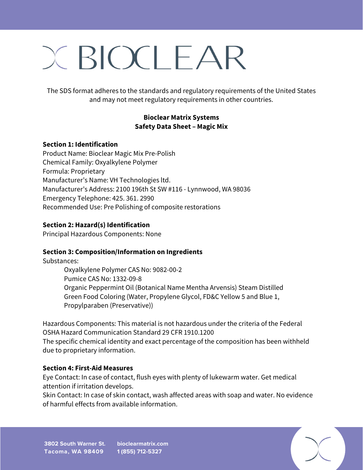# $X$  BIOCLEAR

The SDS format adheres to the standards and regulatory requirements of the United States and may not meet regulatory requirements in other countries.

## **Bioclear Matrix Systems Safety Data Sheet – Magic Mix**

#### **Section 1: Identification**

Product Name: Bioclear Magic Mix Pre-Polish Chemical Family: Oxyalkylene Polymer Formula: Proprietary Manufacturer's Name: VH Technologies ltd. Manufacturer's Address: 2100 196th St SW #116 - Lynnwood, WA 98036 Emergency Telephone: 425. 361. 2990 Recommended Use: Pre Polishing of composite restorations

#### **Section 2: Hazard(s) Identification**

Principal Hazardous Components: None

## **Section 3: Composition/Information on Ingredients**

Substances:

Oxyalkylene Polymer CAS No: 9082-00-2 Pumice CAS No: 1332-09-8 Organic Peppermint Oil (Botanical Name Mentha Arvensis) Steam Distilled Green Food Coloring (Water, Propylene Glycol, FD&C Yellow 5 and Blue 1, Propylparaben (Preservative))

Hazardous Components: This material is not hazardous under the criteria of the Federal OSHA Hazard Communication Standard 29 CFR 1910.1200 The specific chemical identity and exact percentage of the composition has been withheld due to proprietary information.

#### **Section 4: First-Aid Measures**

Eye Contact: In case of contact, flush eyes with plenty of lukewarm water. Get medical attention if irritation develops.

Skin Contact: In case of skin contact, wash affected areas with soap and water. No evidence of harmful effects from available information.

**3802 South Warner St. Tacoma, WA 98409 bioclearmatrix.com 1 (855) 712-5327**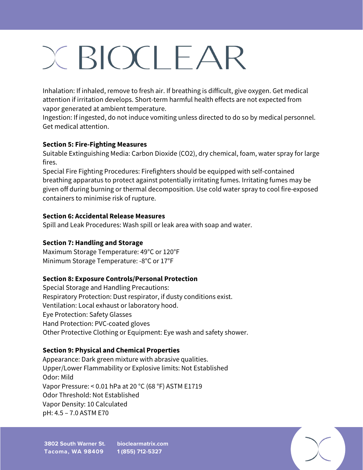# $X$  BIOCLEAR

Inhalation: If inhaled, remove to fresh air. If breathing is difficult, give oxygen. Get medical attention if irritation develops. Short-term harmful health effects are not expected from vapor generated at ambient temperature.

Ingestion: If ingested, do not induce vomiting unless directed to do so by medical personnel. Get medical attention.

## **Section 5: Fire-Fighting Measures**

Suitable Extinguishing Media: Carbon Dioxide (CO2), dry chemical, foam, water spray for large fires.

Special Fire Fighting Procedures: Firefighters should be equipped with self-contained breathing apparatus to protect against potentially irritating fumes. Irritating fumes may be given off during burning or thermal decomposition. Use cold water spray to cool fire-exposed containers to minimise risk of rupture.

## **Section 6: Accidental Release Measures**

Spill and Leak Procedures: Wash spill or leak area with soap and water.

## **Section 7: Handling and Storage**

Maximum Storage Temperature: 49°C or 120°F Minimum Storage Temperature: -8°C or 17°F

## **Section 8: Exposure Controls/Personal Protection**

Special Storage and Handling Precautions: Respiratory Protection: Dust respirator, if dusty conditions exist. Ventilation: Local exhaust or laboratory hood. Eye Protection: Safety Glasses Hand Protection: PVC-coated gloves Other Protective Clothing or Equipment: Eye wash and safety shower.

## **Section 9: Physical and Chemical Properties**

Appearance: Dark green mixture with abrasive qualities. Upper/Lower Flammability or Explosive limits: Not Established Odor: Mild Vapor Pressure: < 0.01 hPa at 20 °C (68 °F) ASTM E1719 Odor Threshold: Not Established Vapor Density: 10 Calculated pH: 4.5 – 7.0 ASTM E70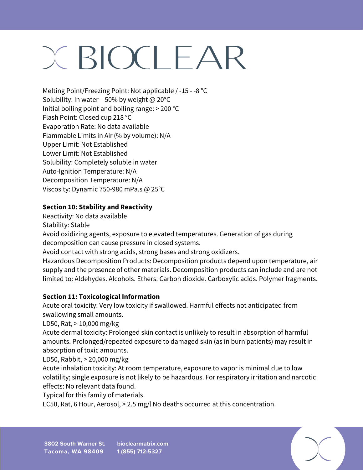# $X$  BIOCLEAR

Melting Point/Freezing Point: Not applicable / -15 - -8 °C Solubility: In water – 50% by weight @  $20^{\circ}$ C Initial boiling point and boiling range: > 200 °C Flash Point: Closed cup 218 °C Evaporation Rate: No data available Flammable Limits in Air (% by volume): N/A Upper Limit: Not Established Lower Limit: Not Established Solubility: Completely soluble in water Auto-Ignition Temperature: N/A Decomposition Temperature: N/A Viscosity: Dynamic 750-980 mPa.s @ 25°C

## **Section 10: Stability and Reactivity**

Reactivity: No data available

Stability: Stable

Avoid oxidizing agents, exposure to elevated temperatures. Generation of gas during decomposition can cause pressure in closed systems.

Avoid contact with strong acids, strong bases and strong oxidizers.

Hazardous Decomposition Products: Decomposition products depend upon temperature, air supply and the presence of other materials. Decomposition products can include and are not limited to: Aldehydes. Alcohols. Ethers. Carbon dioxide. Carboxylic acids. Polymer fragments.

## **Section 11: Toxicological Information**

Acute oral toxicity: Very low toxicity if swallowed. Harmful effects not anticipated from swallowing small amounts.

LD50, Rat, > 10,000 mg/kg

Acute dermal toxicity: Prolonged skin contact is unlikely to result in absorption of harmful amounts. Prolonged/repeated exposure to damaged skin (as in burn patients) may result in absorption of toxic amounts.

LD50, Rabbit, > 20,000 mg/kg

Acute inhalation toxicity: At room temperature, exposure to vapor is minimal due to low volatility; single exposure is not likely to be hazardous. For respiratory irritation and narcotic effects: No relevant data found.

Typical for this family of materials.

LC50, Rat, 6 Hour, Aerosol, > 2.5 mg/l No deaths occurred at this concentration.